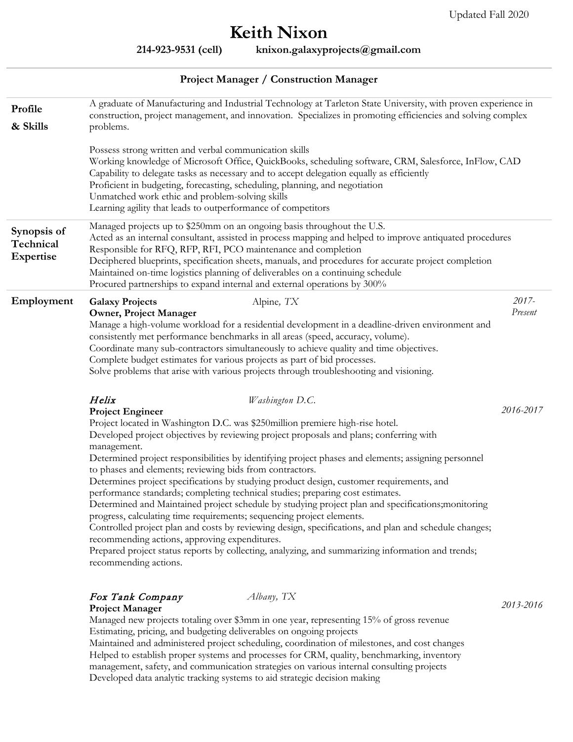## **Keith Nixon**

**214-923-9531 (cell) knixon.galaxyprojects@gmail.com**

## **Project Manager / Construction Manager**

| Profile<br>& Skills                   | A graduate of Manufacturing and Industrial Technology at Tarleton State University, with proven experience in<br>construction, project management, and innovation. Specializes in promoting efficiencies and solving complex<br>problems.                                                                                                                                                                                                                                                                                                                                                                                                                                                                                                                                                                                                                                                                                                                                                                                                                             |                  |  |
|---------------------------------------|-----------------------------------------------------------------------------------------------------------------------------------------------------------------------------------------------------------------------------------------------------------------------------------------------------------------------------------------------------------------------------------------------------------------------------------------------------------------------------------------------------------------------------------------------------------------------------------------------------------------------------------------------------------------------------------------------------------------------------------------------------------------------------------------------------------------------------------------------------------------------------------------------------------------------------------------------------------------------------------------------------------------------------------------------------------------------|------------------|--|
|                                       | Possess strong written and verbal communication skills<br>Working knowledge of Microsoft Office, QuickBooks, scheduling software, CRM, Salesforce, InFlow, CAD<br>Capability to delegate tasks as necessary and to accept delegation equally as efficiently<br>Proficient in budgeting, forecasting, scheduling, planning, and negotiation<br>Unmatched work ethic and problem-solving skills<br>Learning agility that leads to outperformance of competitors                                                                                                                                                                                                                                                                                                                                                                                                                                                                                                                                                                                                         |                  |  |
| Synopsis of<br>Technical<br>Expertise | Managed projects up to \$250mm on an ongoing basis throughout the U.S.<br>Acted as an internal consultant, assisted in process mapping and helped to improve antiquated procedures<br>Responsible for RFQ, RFP, RFI, PCO maintenance and completion<br>Deciphered blueprints, specification sheets, manuals, and procedures for accurate project completion<br>Maintained on-time logistics planning of deliverables on a continuing schedule<br>Procured partnerships to expand internal and external operations by 300%                                                                                                                                                                                                                                                                                                                                                                                                                                                                                                                                             |                  |  |
| Employment                            | Alpine, TX<br><b>Galaxy Projects</b><br><b>Owner, Project Manager</b><br>Manage a high-volume workload for a residential development in a deadline-driven environment and<br>consistently met performance benchmarks in all areas (speed, accuracy, volume).<br>Coordinate many sub-contractors simultaneously to achieve quality and time objectives.<br>Complete budget estimates for various projects as part of bid processes.<br>Solve problems that arise with various projects through troubleshooting and visioning.                                                                                                                                                                                                                                                                                                                                                                                                                                                                                                                                          | 2017-<br>Present |  |
|                                       | Helix<br>Washington D.C.<br><b>Project Engineer</b><br>Project located in Washington D.C. was \$250million premiere high-rise hotel.<br>Developed project objectives by reviewing project proposals and plans; conferring with<br>management.<br>Determined project responsibilities by identifying project phases and elements; assigning personnel<br>to phases and elements; reviewing bids from contractors.<br>Determines project specifications by studying product design, customer requirements, and<br>performance standards; completing technical studies; preparing cost estimates.<br>Determined and Maintained project schedule by studying project plan and specifications; monitoring<br>progress, calculating time requirements; sequencing project elements.<br>Controlled project plan and costs by reviewing design, specifications, and plan and schedule changes;<br>recommending actions, approving expenditures.<br>Prepared project status reports by collecting, analyzing, and summarizing information and trends;<br>recommending actions. | 2016-2017        |  |
|                                       | Fox Tank Company<br>Albany, TX<br><b>Project Manager</b><br>Managed new projects totaling over \$3mm in one year, representing 15% of gross revenue<br>Estimating, pricing, and budgeting deliverables on ongoing projects<br>Maintained and administered project scheduling, coordination of milestones, and cost changes                                                                                                                                                                                                                                                                                                                                                                                                                                                                                                                                                                                                                                                                                                                                            | 2013-2016        |  |

Helped to establish proper systems and processes for CRM, quality, benchmarking, inventory management, safety, and communication strategies on various internal consulting projects Developed data analytic tracking systems to aid strategic decision making